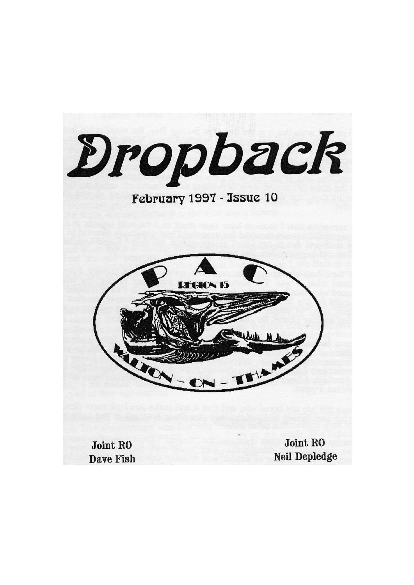Dropback February 1997 - Issue 10 **REGION 15** ITIAN **Joint RO Joint RO Neil Depledge** Dave Fish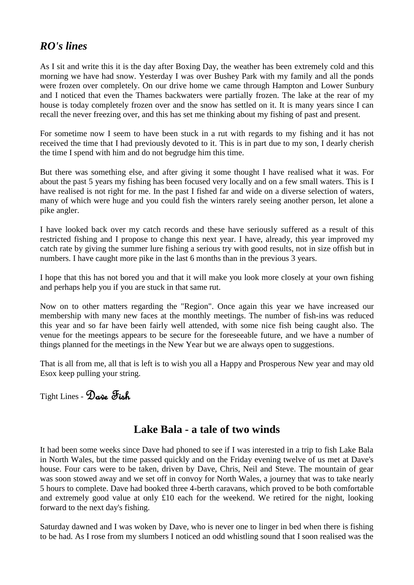# *RO's lines*

As I sit and write this it is the day after Boxing Day, the weather has been extremely cold and this morning we have had snow. Yesterday I was over Bushey Park with my family and all the ponds were frozen over completely. On our drive home we came through Hampton and Lower Sunbury and I noticed that even the Thames backwaters were partially frozen. The lake at the rear of my house is today completely frozen over and the snow has settled on it. It is many years since I can recall the never freezing over, and this has set me thinking about my fishing of past and present.

For sometime now I seem to have been stuck in a rut with regards to my fishing and it has not received the time that I had previously devoted to it. This is in part due to my son, I dearly cherish the time I spend with him and do not begrudge him this time.

But there was something else, and after giving it some thought I have realised what it was. For about the past 5 years my fishing has been focused very locally and on a few small waters. This is I have realised is not right for me. In the past I fished far and wide on a diverse selection of waters, many of which were huge and you could fish the winters rarely seeing another person, let alone a pike angler.

I have looked back over my catch records and these have seriously suffered as a result of this restricted fishing and I propose to change this next year. I have, already, this year improved my catch rate by giving the summer lure fishing a serious try with good results, not in size offish but in numbers. I have caught more pike in the last 6 months than in the previous 3 years.

I hope that this has not bored you and that it will make you look more closely at your own fishing and perhaps help you if you are stuck in that same rut.

Now on to other matters regarding the "Region". Once again this year we have increased our membership with many new faces at the monthly meetings. The number of fish-ins was reduced this year and so far have been fairly well attended, with some nice fish being caught also. The venue for the meetings appears to be secure for the foreseeable future, and we have a number of things planned for the meetings in the New Year but we are always open to suggestions.

That is all from me, all that is left is to wish you all a Happy and Prosperous New year and may old Esox keep pulling your string.

Tight Lines - Dave Fish

# **Lake Bala - a tale of two winds**

It had been some weeks since Dave had phoned to see if I was interested in a trip to fish Lake Bala in North Wales, but the time passed quickly and on the Friday evening twelve of us met at Dave's house. Four cars were to be taken, driven by Dave, Chris, Neil and Steve. The mountain of gear was soon stowed away and we set off in convoy for North Wales, a journey that was to take nearly 5 hours to complete. Dave had booked three 4-berth caravans, which proved to be both comfortable and extremely good value at only £10 each for the weekend. We retired for the night, looking forward to the next day's fishing.

Saturday dawned and I was woken by Dave, who is never one to linger in bed when there is fishing to be had. As I rose from my slumbers I noticed an odd whistling sound that I soon realised was the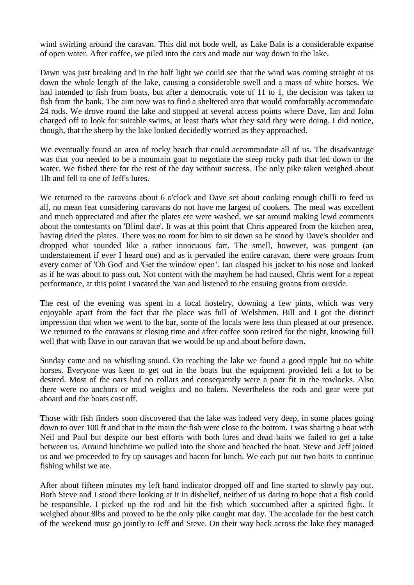wind swirling around the caravan. This did not bode well, as Lake Bala is a considerable expanse of open water. After coffee, we piled into the cars and made our way down to the lake.

Dawn was just breaking and in the half light we could see that the wind was coming straight at us down the whole length of the lake, causing a considerable swell and a mass of white horses. We had intended to fish from boats, but after a democratic vote of 11 to 1, the decision was taken to fish from the bank. The aim now was to find a sheltered area that would comfortably accommodate 24 rods. We drove round the lake and stopped at several access points where Dave, Ian and John charged off to look for suitable swims, at least that's what they said they were doing. I did notice, though, that the sheep by the lake looked decidedly worried as they approached.

We eventually found an area of rocky beach that could accommodate all of us. The disadvantage was that you needed to be a mountain goat to negotiate the steep rocky path that led down to the water. We fished there for the rest of the day without success. The only pike taken weighed about 1lb and fell to one of Jeff's lures.

We returned to the caravans about 6 o'clock and Dave set about cooking enough chilli to feed us all, no mean feat considering caravans do not have me largest of cookers. The meal was excellent and much appreciated and after the plates etc were washed, we sat around making lewd comments about the contestants on 'Blind date'. It was at this point that Chris appeared from the kitchen area, having dried the plates. There was no room for him to sit down so he stood by Dave's shoulder and dropped what sounded like a rather innocuous fart. The smell, however, was pungent (an understatement if ever I heard one) and as it pervaded the entire caravan, there were groans from every comer of 'Oh God' and 'Get the window open". Ian clasped his jacket to his nose and looked as if he was about to pass out. Not content with the mayhem he had caused, Chris went for a repeat performance, at this point I vacated the 'van and listened to the ensuing groans from outside.

The rest of the evening was spent in a local hostelry, downing a few pints, which was very enjoyable apart from the fact that the place was full of Welshmen. Bill and I got the distinct impression that when we went to the bar, some of the locals were less than pleased at our presence. We returned to the caravans at closing time and after coffee soon retired for the night, knowing full well that with Dave in our caravan that we would be up and about before dawn.

Sunday came and no whistling sound. On reaching the lake we found a good ripple but no white horses. Everyone was keen to get out in the boats but the equipment provided left a lot to be desired. Most of the oars had no collars and consequently were a poor fit in the rowlocks. Also there were no anchors or mud weights and no balers. Nevertheless the rods and gear were put aboard and the boats cast off.

Those with fish finders soon discovered that the lake was indeed very deep, in some places going down to over 100 ft and that in the main the fish were close to the bottom. I was sharing a boat with Neil and Paul but despite our best efforts with both lures and dead baits we failed to get a take between us. Around lunchtime we pulled into the shore and beached the boat. Steve and Jeff joined us and we proceeded to fry up sausages and bacon for lunch. We each put out two baits to continue fishing whilst we ate.

After about fifteen minutes my left hand indicator dropped off and line started to slowly pay out. Both Steve and I stood there looking at it in disbelief, neither of us daring to hope that a fish could be responsible. I picked up the rod and hit the fish which succumbed after a spirited fight. It weighed about 8lbs and proved to be the only pike caught mat day. The accolade for the best catch of the weekend must go jointly to Jeff and Steve. On their way back across the lake they managed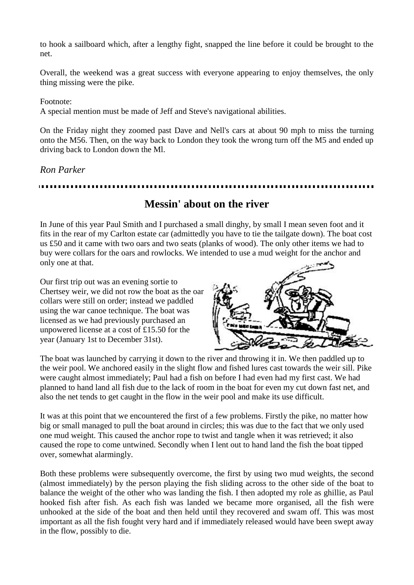to hook a sailboard which, after a lengthy fight, snapped the line before it could be brought to the net.

Overall, the weekend was a great success with everyone appearing to enjoy themselves, the only thing missing were the pike.

#### Footnote:

A special mention must be made of Jeff and Steve's navigational abilities.

On the Friday night they zoomed past Dave and Nell's cars at about 90 mph to miss the turning onto the M56. Then, on the way back to London they took the wrong turn off the M5 and ended up driving back to London down the Ml.

*Ron Parker*

# **Messin' about on the river**

In June of this year Paul Smith and I purchased a small dinghy, by small I mean seven foot and it fits in the rear of my Carlton estate car (admittedly you have to tie the tailgate down). The boat cost us £50 and it came with two oars and two seats (planks of wood). The only other items we had to buy were collars for the oars and rowlocks. We intended to use a mud weight for the anchor and only one at that.

Our first trip out was an evening sortie to Chertsey weir, we did not row the boat as the oar collars were still on order; instead we paddled using the war canoe technique. The boat was licensed as we had previously purchased an unpowered license at a cost of £15.50 for the year (January 1st to December 31st).



The boat was launched by carrying it down to the river and throwing it in. We then paddled up to the weir pool. We anchored easily in the slight flow and fished lures cast towards the weir sill. Pike were caught almost immediately; Paul had a fish on before I had even had my first cast. We had planned to hand land all fish due to the lack of room in the boat for even my cut down fast net, and also the net tends to get caught in the flow in the weir pool and make its use difficult.

It was at this point that we encountered the first of a few problems. Firstly the pike, no matter how big or small managed to pull the boat around in circles; this was due to the fact that we only used one mud weight. This caused the anchor rope to twist and tangle when it was retrieved; it also caused the rope to come untwined. Secondly when I lent out to hand land the fish the boat tipped over, somewhat alarmingly.

Both these problems were subsequently overcome, the first by using two mud weights, the second (almost immediately) by the person playing the fish sliding across to the other side of the boat to balance the weight of the other who was landing the fish. I then adopted my role as ghillie, as Paul hooked fish after fish. As each fish was landed we became more organised, all the fish were unhooked at the side of the boat and then held until they recovered and swam off. This was most important as all the fish fought very hard and if immediately released would have been swept away in the flow, possibly to die.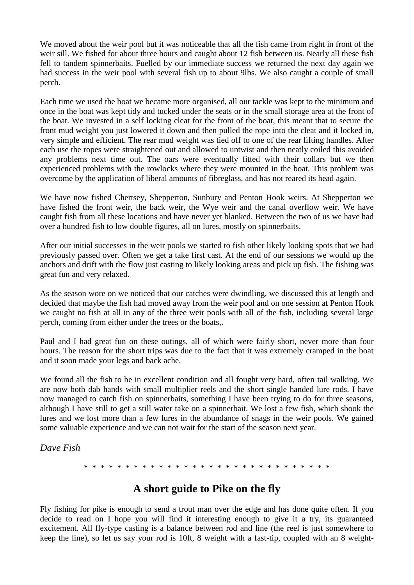We moved about the weir pool but it was noticeable that all the fish came from right in front of the weir sill. We fished for about three hours and caught about 12 fish between us. Nearly all these fish fell to tandem spinnerbaits. Fuelled by our immediate success we returned the next day again we had success in the weir pool with several fish up to about 9lbs. We also caught a couple of small perch.

Each time we used the boat we became more organised, all our tackle was kept to the minimum and once in the boat was kept tidy and tucked under the seats or in the small storage area at the front of the boat. We invested in a self locking cleat for the front of the boat, this meant that to secure the front mud weight you just lowered it down and then pulled the rope into the cleat and it locked in, very simple and efficient. The rear mud weight was tied off to one of the rear lifting handles. After each use the ropes were straightened out and allowed to untwist and then neatly coiled this avoided any problems next time out. The oars were eventually fitted with their collars but we then experienced problems with the rowlocks where they were mounted in the boat. This problem was overcome by the application of liberal amounts of fibreglass, and has not reared its head again.

We have now fished Chertsey, Shepperton, Sunbury and Penton Hook weirs. At Shepperton we have fished the front weir, the back weir, the Wye weir and the canal overflow weir. We have caught fish from all these locations and have never yet blanked. Between the two of us we have had over a hundred fish to low double figures, all on lures, mostly on spinnerbaits.

After our initial successes in the weir pools we started to fish other likely looking spots that we had previously passed over. Often we get a take first cast. At the end of our sessions we would up the anchors and drift with the flow just casting to likely looking areas and pick up fish. The fishing was great fun and very relaxed.

As the season wore on we noticed that our catches were dwindling, we discussed this at length and decided that maybe the fish had moved away from the weir pool and on one session at Penton Hook we caught no fish at all in any of the three weir pools with all of the fish, including several large perch, coming from either under the trees or the boats,.

Paul and I had great fun on these outings, all of which were fairly short, never more than four hours. The reason for the short trips was due to the fact that it was extremely cramped in the boat and it soon made your legs and back ache.

We found all the fish to be in excellent condition and all fought very hard, often tail walking. We are now both dab hands with small multiplier reels and the short single handed lure rods. I have now managed to catch fish on spinnerbaits, something I have been trying to do for three seasons, although I have still to get a still water take on a spinnerbait. We lost a few fish, which shook the lures and we lost more than a few lures in the abundance of snags in the weir pools. We gained some valuable experience and we can not wait for the start of the season next year.

*Dave Fish*

\* \* \* \* \* \* \* \* \* \* \* \* \* \* \* \* \* \* \* \* \* \* \* \* \* \* \* \* \* \*

## **A short guide to Pike on the fly**

Fly fishing for pike is enough to send a trout man over the edge and has done quite often. If you decide to read on I hope you will find it interesting enough to give it a try, its guaranteed excitement. All fly-type casting is a balance between rod and line (the reel is just somewhere to keep the line), so let us say your rod is 10ft, 8 weight with a fast-tip, coupled with an 8 weight-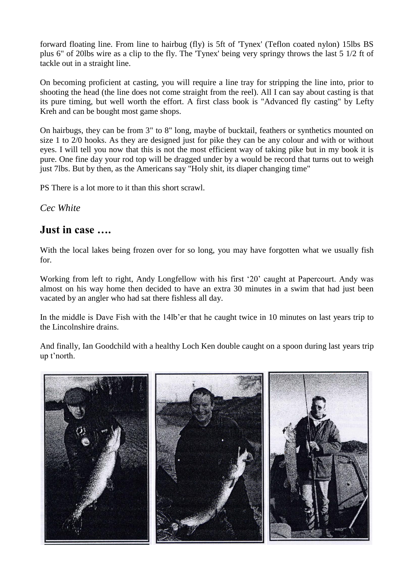forward floating line. From line to hairbug (fly) is 5ft of 'Tynex' (Teflon coated nylon) 15lbs BS plus 6" of 20lbs wire as a clip to the fly. The 'Tynex' being very springy throws the last 5 1/2 ft of tackle out in a straight line.

On becoming proficient at casting, you will require a line tray for stripping the line into, prior to shooting the head (the line does not come straight from the reel). All I can say about casting is that its pure timing, but well worth the effort. A first class book is "Advanced fly casting" by Lefty Kreh and can be bought most game shops.

On hairbugs, they can be from 3" to 8" long, maybe of bucktail, feathers or synthetics mounted on size 1 to 2/0 hooks. As they are designed just for pike they can be any colour and with or without eyes. I will tell you now that this is not the most efficient way of taking pike but in my book it is pure. One fine day your rod top will be dragged under by a would be record that turns out to weigh just 7lbs. But by then, as the Americans say "Holy shit, its diaper changing time"

PS There is a lot more to it than this short scrawl.

*Cec White*

## **Just in case ….**

With the local lakes being frozen over for so long, you may have forgotten what we usually fish for.

Working from left to right, Andy Longfellow with his first "20" caught at Papercourt. Andy was almost on his way home then decided to have an extra 30 minutes in a swim that had just been vacated by an angler who had sat there fishless all day.

In the middle is Dave Fish with the 14lb"er that he caught twice in 10 minutes on last years trip to the Lincolnshire drains.

And finally, Ian Goodchild with a healthy Loch Ken double caught on a spoon during last years trip up t"north.

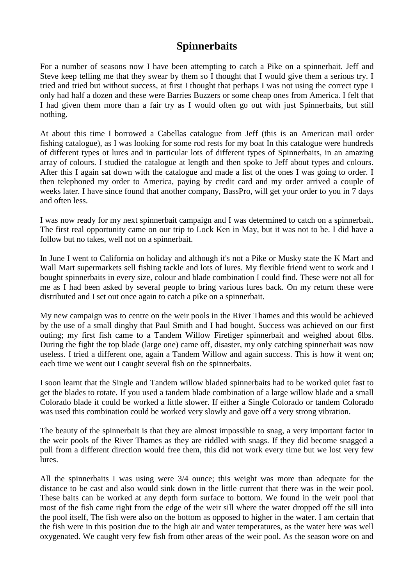# **Spinnerbaits**

For a number of seasons now I have been attempting to catch a Pike on a spinnerbait. Jeff and Steve keep telling me that they swear by them so I thought that I would give them a serious try. I tried and tried but without success, at first I thought that perhaps I was not using the correct type I only had half a dozen and these were Barries Buzzers or some cheap ones from America. I felt that I had given them more than a fair try as I would often go out with just Spinnerbaits, but still nothing.

At about this time I borrowed a Cabellas catalogue from Jeff (this is an American mail order fishing catalogue), as I was looking for some rod rests for my boat In this catalogue were hundreds of different types ot lures and in particular lots of different types of Spinnerbaits, in an amazing array of colours. I studied the catalogue at length and then spoke to Jeff about types and colours. After this I again sat down with the catalogue and made a list of the ones I was going to order. I then telephoned my order to America, paying by credit card and my order arrived a couple of weeks later. I have since found that another company, BassPro, will get your order to you in 7 days and often less.

I was now ready for my next spinnerbait campaign and I was determined to catch on a spinnerbait. The first real opportunity came on our trip to Lock Ken in May, but it was not to be. I did have a follow but no takes, well not on a spinnerbait.

In June I went to California on holiday and although it's not a Pike or Musky state the K Mart and Wall Mart supermarkets sell fishing tackle and lots of lures. My flexible friend went to work and I bought spinnerbaits in every size, colour and blade combination I could find. These were not all for me as I had been asked by several people to bring various lures back. On my return these were distributed and I set out once again to catch a pike on a spinnerbait.

My new campaign was to centre on the weir pools in the River Thames and this would be achieved by the use of a small dinghy that Paul Smith and I had bought. Success was achieved on our first outing; my first fish came to a Tandem Willow Firetiger spinnerbait and weighed about 6lbs. During the fight the top blade (large one) came off, disaster, my only catching spinnerbait was now useless. I tried a different one, again a Tandem Willow and again success. This is how it went on; each time we went out I caught several fish on the spinnerbaits.

I soon learnt that the Single and Tandem willow bladed spinnerbaits had to be worked quiet fast to get the blades to rotate. If you used a tandem blade combination of a large willow blade and a small Colorado blade it could be worked a little slower. If either a Single Colorado or tandem Colorado was used this combination could be worked very slowly and gave off a very strong vibration.

The beauty of the spinnerbait is that they are almost impossible to snag, a very important factor in the weir pools of the River Thames as they are riddled with snags. If they did become snagged a pull from a different direction would free them, this did not work every time but we lost very few lures.

All the spinnerbaits I was using were 3/4 ounce; this weight was more than adequate for the distance to be cast and also would sink down in the little current that there was in the weir pool. These baits can be worked at any depth form surface to bottom. We found in the weir pool that most of the fish came right from the edge of the weir sill where the water dropped off the sill into the pool itself, The fish were also on the bottom as opposed to higher in the water. I am certain that the fish were in this position due to the high air and water temperatures, as the water here was well oxygenated. We caught very few fish from other areas of the weir pool. As the season wore on and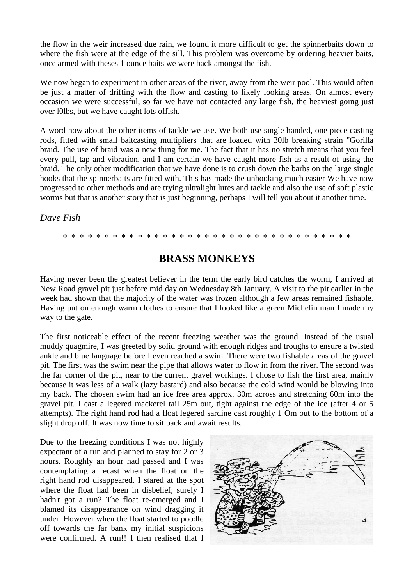the flow in the weir increased due rain, we found it more difficult to get the spinnerbaits down to where the fish were at the edge of the sill. This problem was overcome by ordering heavier baits, once armed with theses 1 ounce baits we were back amongst the fish.

We now began to experiment in other areas of the river, away from the weir pool. This would often be just a matter of drifting with the flow and casting to likely looking areas. On almost every occasion we were successful, so far we have not contacted any large fish, the heaviest going just over l0lbs, but we have caught lots offish.

A word now about the other items of tackle we use. We both use single handed, one piece casting rods, fitted with small baitcasting multipliers that are loaded with 30lb breaking strain "Gorilla braid. The use of braid was a new thing for me. The fact that it has no stretch means that you feel every pull, tap and vibration, and I am certain we have caught more fish as a result of using the braid. The only other modification that we have done is to crush down the barbs on the large single hooks that the spinnerbaits are fitted with. This has made the unhooking much easier We have now progressed to other methods and are trying ultralight lures and tackle and also the use of soft plastic worms but that is another story that is just beginning, perhaps I will tell you about it another time.

*Dave Fish*

\* \* \* \* \* \* \* \* \* \* \* \* \* \* \* \* \* \* \* \* \* \* \* \* \* \* \* \* \* \* \* \* \* \* \*

## **BRASS MONKEYS**

Having never been the greatest believer in the term the early bird catches the worm, I arrived at New Road gravel pit just before mid day on Wednesday 8th January. A visit to the pit earlier in the week had shown that the majority of the water was frozen although a few areas remained fishable. Having put on enough warm clothes to ensure that I looked like a green Michelin man I made my way to the gate.

The first noticeable effect of the recent freezing weather was the ground. Instead of the usual muddy quagmire, I was greeted by solid ground with enough ridges and troughs to ensure a twisted ankle and blue language before I even reached a swim. There were two fishable areas of the gravel pit. The first was the swim near the pipe that allows water to flow in from the river. The second was the far corner of the pit, near to the current gravel workings. I chose to fish the first area, mainly because it was less of a walk (lazy bastard) and also because the cold wind would be blowing into my back. The chosen swim had an ice free area approx. 30m across and stretching 60m into the gravel pit. I cast a legered mackerel tail 25m out, tight against the edge of the ice (after 4 or 5 attempts). The right hand rod had a float legered sardine cast roughly 1 Om out to the bottom of a slight drop off. It was now time to sit back and await results.

Due to the freezing conditions I was not highly expectant of a run and planned to stay for 2 or 3 hours. Roughly an hour had passed and I was contemplating a recast when the float on the right hand rod disappeared. I stared at the spot where the float had been in disbelief; surely I hadn't got a run? The float re-emerged and I blamed its disappearance on wind dragging it under. However when the float started to poodle off towards the far bank my initial suspicions were confirmed. A run!! I then realised that I

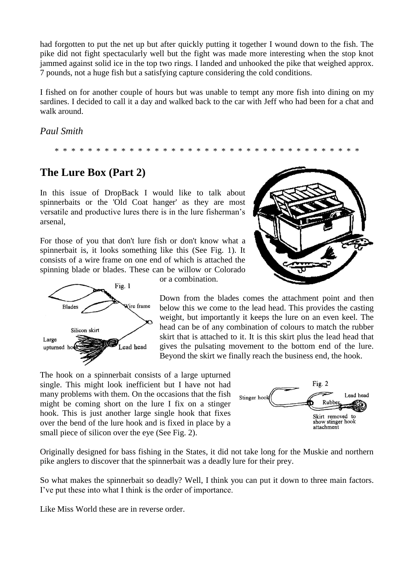had forgotten to put the net up but after quickly putting it together I wound down to the fish. The pike did not fight spectacularly well but the fight was made more interesting when the stop knot jammed against solid ice in the top two rings. I landed and unhooked the pike that weighed approx. 7 pounds, not a huge fish but a satisfying capture considering the cold conditions.

I fished on for another couple of hours but was unable to tempt any more fish into dining on my sardines. I decided to call it a day and walked back to the car with Jeff who had been for a chat and walk around.

*Paul Smith*

\* \* \* \* \* \* \* \* \* \* \* \* \* \* \* \* \* \* \* \* \* \* \* \* \* \* \* \* \* \* \* \* \* \* \* \* \*

# **The Lure Box (Part 2)**

In this issue of DropBack I would like to talk about spinnerbaits or the 'Old Coat hanger' as they are most versatile and productive lures there is in the lure fisherman"s arsenal,

For those of you that don't lure fish or don't know what a spinnerbait is, it looks something like this (See Fig. 1). It consists of a wire frame on one end of which is attached the spinning blade or blades. These can be willow or Colorado



or a combination.

Down from the blades comes the attachment point and then below this we come to the lead head. This provides the casting weight, but importantly it keeps the lure on an even keel. The head can be of any combination of colours to match the rubber skirt that is attached to it. It is this skirt plus the lead head that gives the pulsating movement to the bottom end of the lure. Beyond the skirt we finally reach the business end, the hook.

The hook on a spinnerbait consists of a large upturned single. This might look inefficient but I have not had many problems with them. On the occasions that the fish might be coming short on the lure I fix on a stinger hook. This is just another large single hook that fixes over the bend of the lure hook and is fixed in place by a small piece of silicon over the eye (See Fig. 2).



Originally designed for bass fishing in the States, it did not take long for the Muskie and northern pike anglers to discover that the spinnerbait was a deadly lure for their prey.

So what makes the spinnerbait so deadly? Well, I think you can put it down to three main factors. I"ve put these into what I think is the order of importance.

Like Miss World these are in reverse order.

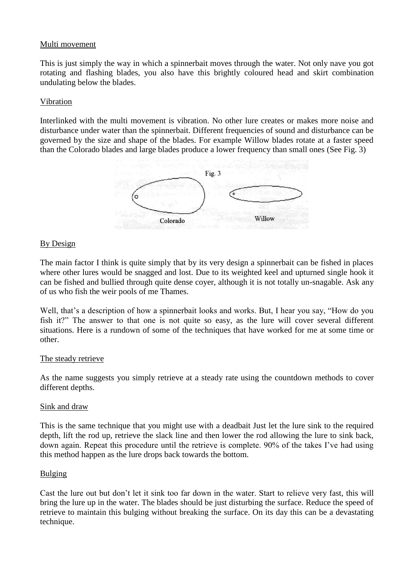#### Multi movement

This is just simply the way in which a spinnerbait moves through the water. Not only nave you got rotating and flashing blades, you also have this brightly coloured head and skirt combination undulating below the blades.

#### Vibration

Interlinked with the multi movement is vibration. No other lure creates or makes more noise and disturbance under water than the spinnerbait. Different frequencies of sound and disturbance can be governed by the size and shape of the blades. For example Willow blades rotate at a faster speed than the Colorado blades and large blades produce a lower frequency than small ones (See Fig. 3)



#### By Design

The main factor I think is quite simply that by its very design a spinnerbait can be fished in places where other lures would be snagged and lost. Due to its weighted keel and upturned single hook it can be fished and bullied through quite dense coyer, although it is not totally un-snagable. Ask any of us who fish the weir pools of me Thames.

Well, that's a description of how a spinnerbait looks and works. But, I hear you say, "How do you fish it?" The answer to that one is not quite so easy, as the lure will cover several different situations. Here is a rundown of some of the techniques that have worked for me at some time or other.

#### The steady retrieve

As the name suggests you simply retrieve at a steady rate using the countdown methods to cover different depths.

#### Sink and draw

This is the same technique that you might use with a deadbait Just let the lure sink to the required depth, lift the rod up, retrieve the slack line and then lower the rod allowing the lure to sink back, down again. Repeat this procedure until the retrieve is complete. 90% of the takes I"ve had using this method happen as the lure drops back towards the bottom.

#### **Bulging**

Cast the lure out but don"t let it sink too far down in the water. Start to relieve very fast, this will bring the lure up in the water. The blades should be just disturbing the surface. Reduce the speed of retrieve to maintain this bulging without breaking the surface. On its day this can be a devastating technique.